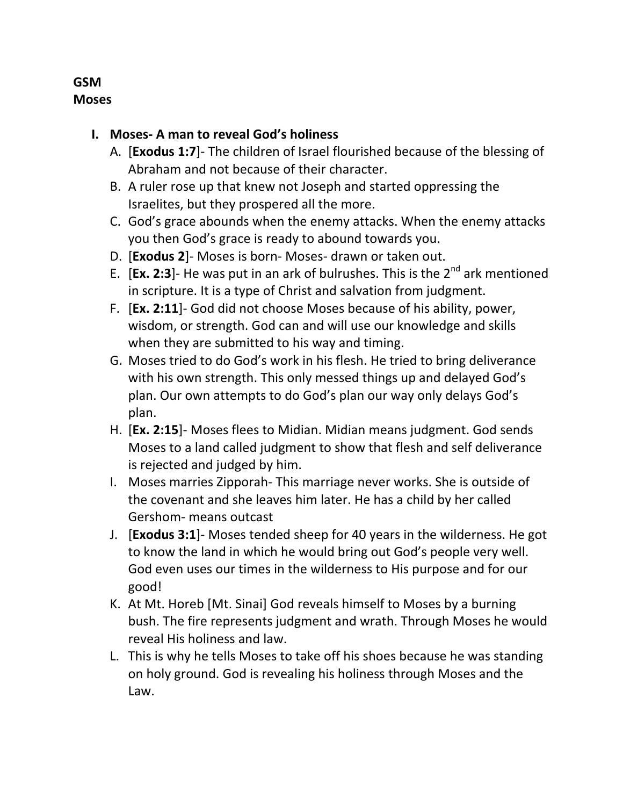## **GSM Moses**

## **I. Moses- A man to reveal God's holiness**

- A. [**Exodus 1:7**]- The children of Israel flourished because of the blessing of Abraham and not because of their character.
- B. A ruler rose up that knew not Joseph and started oppressing the Israelites, but they prospered all the more.
- C. God's grace abounds when the enemy attacks. When the enemy attacks you then God's grace is ready to abound towards you.
- D. [**Exodus 2**]- Moses is born- Moses- drawn or taken out.
- E. [Ex. 2:3]- He was put in an ark of bulrushes. This is the 2<sup>nd</sup> ark mentioned in scripture. It is a type of Christ and salvation from judgment.
- F. [**Ex. 2:11**]- God did not choose Moses because of his ability, power, wisdom, or strength. God can and will use our knowledge and skills when they are submitted to his way and timing.
- G. Moses tried to do God's work in his flesh. He tried to bring deliverance with his own strength. This only messed things up and delayed God's plan. Our own attempts to do God's plan our way only delays God's plan.
- H. [**Ex. 2:15**]- Moses flees to Midian. Midian means judgment. God sends Moses to a land called judgment to show that flesh and self deliverance is rejected and judged by him.
- I. Moses marries Zipporah- This marriage never works. She is outside of the covenant and she leaves him later. He has a child by her called Gershom- means outcast
- J. [**Exodus 3:1**]- Moses tended sheep for 40 years in the wilderness. He got to know the land in which he would bring out God's people very well. God even uses our times in the wilderness to His purpose and for our good!
- K. At Mt. Horeb [Mt. Sinai] God reveals himself to Moses by a burning bush. The fire represents judgment and wrath. Through Moses he would reveal His holiness and law.
- L. This is why he tells Moses to take off his shoes because he was standing on holy ground. God is revealing his holiness through Moses and the Law.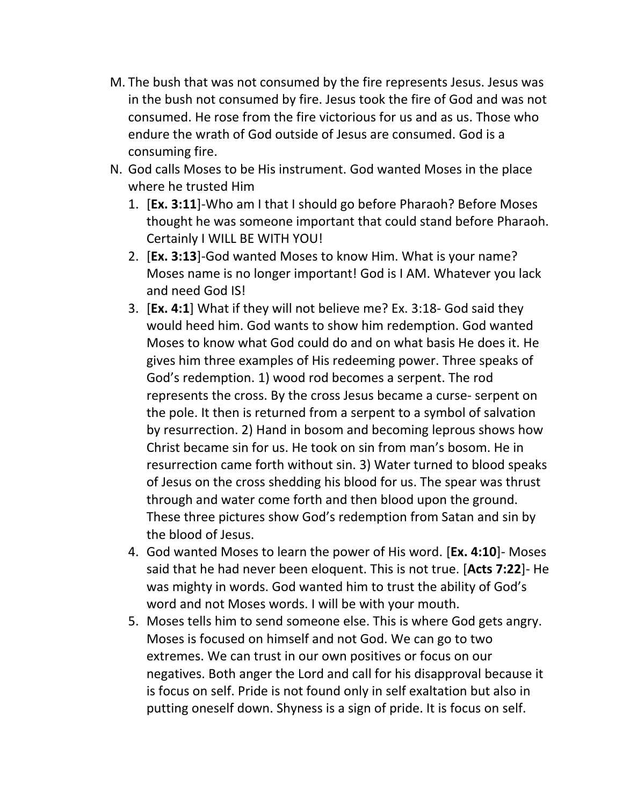- M. The bush that was not consumed by the fire represents Jesus. Jesus was in the bush not consumed by fire. Jesus took the fire of God and was not consumed. He rose from the fire victorious for us and as us. Those who endure the wrath of God outside of Jesus are consumed. God is a consuming fire.
- N. God calls Moses to be His instrument. God wanted Moses in the place where he trusted Him
	- 1. [**Ex. 3:11**]-Who am I that I should go before Pharaoh? Before Moses thought he was someone important that could stand before Pharaoh. Certainly I WILL BE WITH YOU!
	- 2. [**Ex. 3:13**]-God wanted Moses to know Him. What is your name? Moses name is no longer important! God is I AM. Whatever you lack and need God IS!
	- 3. [**Ex. 4:1**] What if they will not believe me? Ex. 3:18- God said they would heed him. God wants to show him redemption. God wanted Moses to know what God could do and on what basis He does it. He gives him three examples of His redeeming power. Three speaks of God's redemption. 1) wood rod becomes a serpent. The rod represents the cross. By the cross Jesus became a curse- serpent on the pole. It then is returned from a serpent to a symbol of salvation by resurrection. 2) Hand in bosom and becoming leprous shows how Christ became sin for us. He took on sin from man's bosom. He in resurrection came forth without sin. 3) Water turned to blood speaks of Jesus on the cross shedding his blood for us. The spear was thrust through and water come forth and then blood upon the ground. These three pictures show God's redemption from Satan and sin by the blood of Jesus.
	- 4. God wanted Moses to learn the power of His word. [**Ex. 4:10**]- Moses said that he had never been eloquent. This is not true. [**Acts 7:22**]- He was mighty in words. God wanted him to trust the ability of God's word and not Moses words. I will be with your mouth.
	- 5. Moses tells him to send someone else. This is where God gets angry. Moses is focused on himself and not God. We can go to two extremes. We can trust in our own positives or focus on our negatives. Both anger the Lord and call for his disapproval because it is focus on self. Pride is not found only in self exaltation but also in putting oneself down. Shyness is a sign of pride. It is focus on self.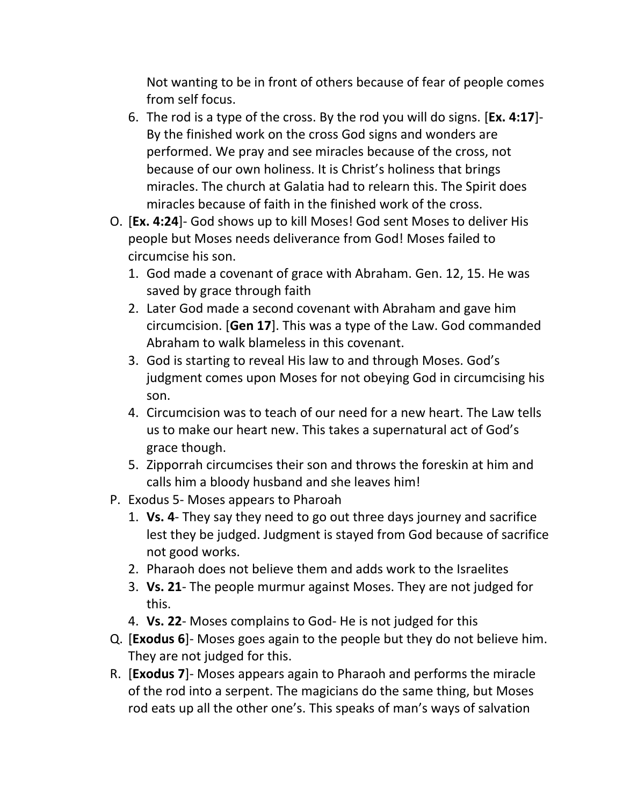Not wanting to be in front of others because of fear of people comes from self focus.

- 6. The rod is a type of the cross. By the rod you will do signs. [**Ex. 4:17**]- By the finished work on the cross God signs and wonders are performed. We pray and see miracles because of the cross, not because of our own holiness. It is Christ's holiness that brings miracles. The church at Galatia had to relearn this. The Spirit does miracles because of faith in the finished work of the cross.
- O. [**Ex. 4:24**]- God shows up to kill Moses! God sent Moses to deliver His people but Moses needs deliverance from God! Moses failed to circumcise his son.
	- 1. God made a covenant of grace with Abraham. Gen. 12, 15. He was saved by grace through faith
	- 2. Later God made a second covenant with Abraham and gave him circumcision. [**Gen 17**]. This was a type of the Law. God commanded Abraham to walk blameless in this covenant.
	- 3. God is starting to reveal His law to and through Moses. God's judgment comes upon Moses for not obeying God in circumcising his son.
	- 4. Circumcision was to teach of our need for a new heart. The Law tells us to make our heart new. This takes a supernatural act of God's grace though.
	- 5. Zipporrah circumcises their son and throws the foreskin at him and calls him a bloody husband and she leaves him!
- P. Exodus 5- Moses appears to Pharoah
	- 1. **Vs. 4** They say they need to go out three days journey and sacrifice lest they be judged. Judgment is stayed from God because of sacrifice not good works.
	- 2. Pharaoh does not believe them and adds work to the Israelites
	- 3. **Vs. 21** The people murmur against Moses. They are not judged for this.
	- 4. **Vs. 22** Moses complains to God- He is not judged for this
- Q. [**Exodus 6**]- Moses goes again to the people but they do not believe him. They are not judged for this.
- R. [**Exodus 7**]- Moses appears again to Pharaoh and performs the miracle of the rod into a serpent. The magicians do the same thing, but Moses rod eats up all the other one's. This speaks of man's ways of salvation